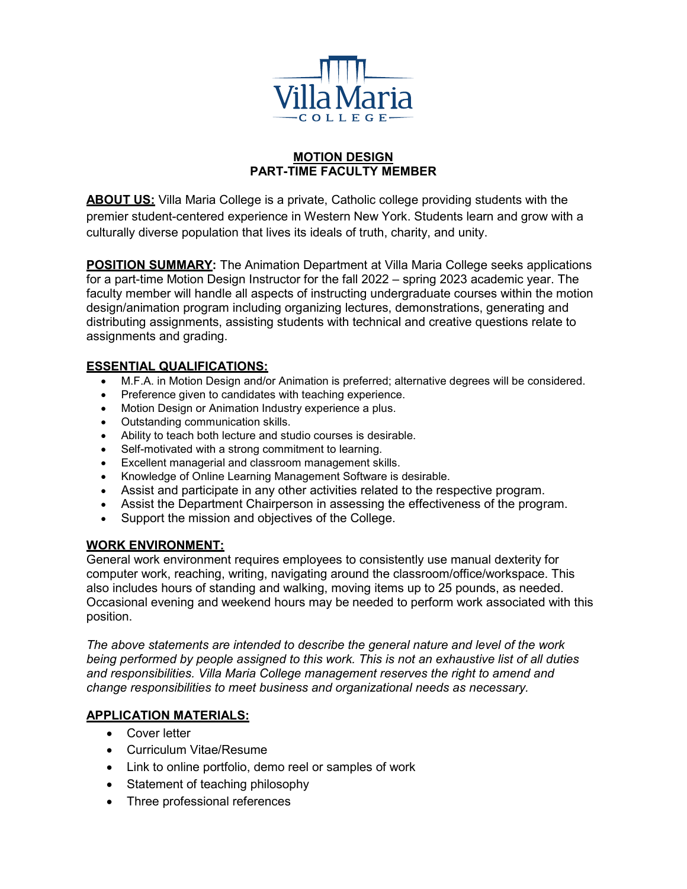

### **MOTION DESIGN PART-TIME FACULTY MEMBER**

**ABOUT US:** Villa Maria College is a private, Catholic college providing students with the premier student-centered experience in Western New York. Students learn and grow with a culturally diverse population that lives its ideals of truth, charity, and unity.

**POSITION SUMMARY:** The Animation Department at Villa Maria College seeks applications for a part-time Motion Design Instructor for the fall 2022 – spring 2023 academic year. The faculty member will handle all aspects of instructing undergraduate courses within the motion design/animation program including organizing lectures, demonstrations, generating and distributing assignments, assisting students with technical and creative questions relate to assignments and grading.

### **ESSENTIAL QUALIFICATIONS:**

- M.F.A. in Motion Design and/or Animation is preferred; alternative degrees will be considered.
- Preference given to candidates with teaching experience.
- Motion Design or Animation Industry experience a plus.
- Outstanding communication skills.
- Ability to teach both lecture and studio courses is desirable.
- Self-motivated with a strong commitment to learning.
- Excellent managerial and classroom management skills.
- Knowledge of Online Learning Management Software is desirable.
- Assist and participate in any other activities related to the respective program.
- Assist the Department Chairperson in assessing the effectiveness of the program.
- Support the mission and objectives of the College.

### **WORK ENVIRONMENT:**

General work environment requires employees to consistently use manual dexterity for computer work, reaching, writing, navigating around the classroom/office/workspace. This also includes hours of standing and walking, moving items up to 25 pounds, as needed. Occasional evening and weekend hours may be needed to perform work associated with this position.

*The above statements are intended to describe the general nature and level of the work being performed by people assigned to this work. This is not an exhaustive list of all duties and responsibilities. Villa Maria College management reserves the right to amend and change responsibilities to meet business and organizational needs as necessary.*

# **APPLICATION MATERIALS:**

- Cover letter
- Curriculum Vitae/Resume
- Link to online portfolio, demo reel or samples of work
- Statement of teaching philosophy
- Three professional references